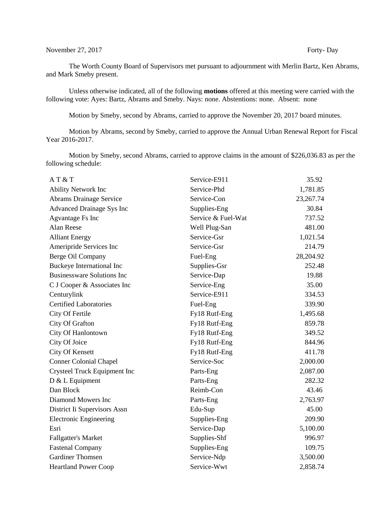## November 27, 2017 Forty- Day

The Worth County Board of Supervisors met pursuant to adjournment with Merlin Bartz, Ken Abrams, and Mark Smeby present.

Unless otherwise indicated, all of the following **motions** offered at this meeting were carried with the following vote: Ayes: Bartz, Abrams and Smeby. Nays: none. Abstentions: none. Absent: none

Motion by Smeby, second by Abrams, carried to approve the November 20, 2017 board minutes.

Motion by Abrams, second by Smeby, carried to approve the Annual Urban Renewal Report for Fiscal Year 2016-2017.

Motion by Smeby, second Abrams, carried to approve claims in the amount of \$226,036.83 as per the following schedule:

| AT & T                            | Service-E911       | 35.92       |
|-----------------------------------|--------------------|-------------|
| <b>Ability Network Inc</b>        | Service-Phd        | 1,781.85    |
| <b>Abrams Drainage Service</b>    | Service-Con        | 23, 267. 74 |
| <b>Advanced Drainage Sys Inc</b>  | Supplies-Eng       | 30.84       |
| Agvantage Fs Inc                  | Service & Fuel-Wat | 737.52      |
| Alan Reese                        | Well Plug-San      | 481.00      |
| <b>Alliant Energy</b>             | Service-Gsr        | 1,021.54    |
| Ameripride Services Inc           | Service-Gsr        | 214.79      |
| Berge Oil Company                 | Fuel-Eng           | 28,204.92   |
| Buckeye International Inc         | Supplies-Gsr       | 252.48      |
| <b>Businessware Solutions Inc</b> | Service-Dap        | 19.88       |
| C J Cooper & Associates Inc       | Service-Eng        | 35.00       |
| Centurylink                       | Service-E911       | 334.53      |
| <b>Certified Laboratories</b>     | Fuel-Eng           | 339.90      |
| City Of Fertile                   | Fy18 Rutf-Eng      | 1,495.68    |
| City Of Grafton                   | Fy18 Rutf-Eng      | 859.78      |
| City Of Hanlontown                | Fy18 Rutf-Eng      | 349.52      |
| City Of Joice                     | Fy18 Rutf-Eng      | 844.96      |
| City Of Kensett                   | Fy18 Rutf-Eng      | 411.78      |
| <b>Conner Colonial Chapel</b>     | Service-Soc        | 2,000.00    |
| Crysteel Truck Equipment Inc      | Parts-Eng          | 2,087.00    |
| D & L Equipment                   | Parts-Eng          | 282.32      |
| Dan Block                         | Reimb-Con          | 43.46       |
| Diamond Mowers Inc                | Parts-Eng          | 2,763.97    |
| District Ii Supervisors Assn      | Edu-Sup            | 45.00       |
| <b>Electronic Engineering</b>     | Supplies-Eng       | 209.90      |
| Esri                              | Service-Dap        | 5,100.00    |
| <b>Fallgatter's Market</b>        | Supplies-Shf       | 996.97      |
| <b>Fastenal Company</b>           | Supplies-Eng       | 109.75      |
| <b>Gardiner Thomsen</b>           | Service-Ndp        | 3,500.00    |
| <b>Heartland Power Coop</b>       | Service-Wwt        | 2,858.74    |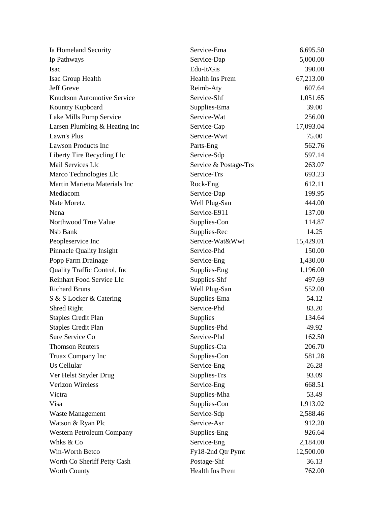| Ia Homeland Security               | Service-Ema           | 6,695.50  |
|------------------------------------|-----------------------|-----------|
| Ip Pathways                        | Service-Dap           | 5,000.00  |
| <b>Isac</b>                        | Edu-It/Gis            | 390.00    |
| Isac Group Health                  | Health Ins Prem       | 67,213.00 |
| Jeff Greve                         | Reimb-Aty             | 607.64    |
| <b>Knudtson Automotive Service</b> | Service-Shf           | 1,051.65  |
| Kountry Kupboard                   | Supplies-Ema          | 39.00     |
| Lake Mills Pump Service            | Service-Wat           | 256.00    |
| Larsen Plumbing & Heating Inc      | Service-Cap           | 17,093.04 |
| Lawn's Plus                        | Service-Wwt           | 75.00     |
| <b>Lawson Products Inc</b>         | Parts-Eng             | 562.76    |
| Liberty Tire Recycling Llc         | Service-Sdp           | 597.14    |
| Mail Services Llc                  | Service & Postage-Trs | 263.07    |
| Marco Technologies Llc             | Service-Trs           | 693.23    |
| Martin Marietta Materials Inc      | Rock-Eng              | 612.11    |
| Mediacom                           | Service-Dap           | 199.95    |
| Nate Moretz                        | Well Plug-San         | 444.00    |
| Nena                               | Service-E911          | 137.00    |
| Northwood True Value               | Supplies-Con          | 114.87    |
| Nsb Bank                           | Supplies-Rec          | 14.25     |
| Peopleservice Inc                  | Service-Wat&Wwt       | 15,429.01 |
| <b>Pinnacle Quality Insight</b>    | Service-Phd           | 150.00    |
| Popp Farm Drainage                 | Service-Eng           | 1,430.00  |
| Quality Traffic Control, Inc.      | Supplies-Eng          | 1,196.00  |
| <b>Reinhart Food Service Llc</b>   | Supplies-Shf          | 497.69    |
| <b>Richard Bruns</b>               | Well Plug-San         | 552.00    |
| S & S Locker & Catering            | Supplies-Ema          | 54.12     |
| Shred Right                        | Service-Phd           | 83.20     |
| <b>Staples Credit Plan</b>         | Supplies              | 134.64    |
| <b>Staples Credit Plan</b>         | Supplies-Phd          | 49.92     |
| Sure Service Co                    | Service-Phd           | 162.50    |
| <b>Thomson Reuters</b>             | Supplies-Cta          | 206.70    |
| Truax Company Inc                  | Supplies-Con          | 581.28    |
| Us Cellular                        | Service-Eng           | 26.28     |
| Ver Helst Snyder Drug              | Supplies-Trs          | 93.09     |
| <b>Verizon Wireless</b>            | Service-Eng           | 668.51    |
| Victra                             | Supplies-Mha          | 53.49     |
| Visa                               | Supplies-Con          | 1,913.02  |
| Waste Management                   | Service-Sdp           | 2,588.46  |
| Watson & Ryan Plc                  | Service-Asr           | 912.20    |
| Western Petroleum Company          | Supplies-Eng          | 926.64    |
| Whks & Co                          | Service-Eng           | 2,184.00  |
| Win-Worth Betco                    | Fy18-2nd Qtr Pymt     | 12,500.00 |
| Worth Co Sheriff Petty Cash        | Postage-Shf           | 36.13     |
| Worth County                       | Health Ins Prem       | 762.00    |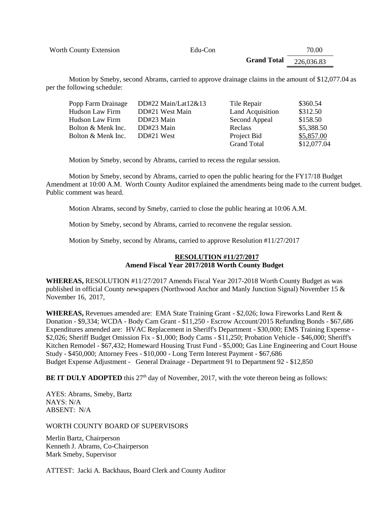Worth County Extension **Edu-Con** Edu-Con 70.00

**Grand Total**  226,036.83

Motion by Smeby, second Abrams, carried to approve drainage claims in the amount of \$12,077.04 as per the following schedule:

| Popp Farm Drainage | DD#22 Main/Lat12&13 | Tile Repair        | \$360.54    |
|--------------------|---------------------|--------------------|-------------|
| Hudson Law Firm    | DD#21 West Main     | Land Acquisition   | \$312.50    |
| Hudson Law Firm    | DD#23 Main          | Second Appeal      | \$158.50    |
| Bolton & Menk Inc. | DD#23 Main          | Reclass            | \$5,388.50  |
| Bolton & Menk Inc. | DD#21 West          | Project Bid        | \$5,857.00  |
|                    |                     | <b>Grand Total</b> | \$12,077.04 |

Motion by Smeby, second by Abrams, carried to recess the regular session.

Motion by Smeby, second by Abrams, carried to open the public hearing for the FY17/18 Budget Amendment at 10:00 A.M. Worth County Auditor explained the amendments being made to the current budget. Public comment was heard.

Motion Abrams, second by Smeby, carried to close the public hearing at 10:06 A.M.

Motion by Smeby, second by Abrams, carried to reconvene the regular session.

Motion by Smeby, second by Abrams, carried to approve Resolution #11/27/2017

## **RESOLUTION #11/27/2017 Amend Fiscal Year 2017/2018 Worth County Budget**

**WHEREAS,** RESOLUTION #11/27/2017 Amends Fiscal Year 2017-2018 Worth County Budget as was published in official County newspapers (Northwood Anchor and Manly Junction Signal) November 15 & November 16, 2017,

**WHEREAS,** Revenues amended are: EMA State Training Grant - \$2,026; Iowa Fireworks Land Rent & Donation - \$9,334; WCDA - Body Cam Grant - \$11,250 - Escrow Account/2015 Refunding Bonds - \$67,686 Expenditures amended are: HVAC Replacement in Sheriff's Department - \$30,000; EMS Training Expense - \$2,026; Sheriff Budget Omission Fix - \$1,000; Body Cams - \$11,250; Probation Vehicle - \$46,000; Sheriff's Kitchen Remodel - \$67,432; Homeward Housing Trust Fund - \$5,000; Gas Line Engineering and Court House Study - \$450,000; Attorney Fees - \$10,000 - Long Term Interest Payment - \$67,686 Budget Expense Adjustment - General Drainage - Department 91 to Department 92 - \$12,850

**BE IT DULY ADOPTED** this 27<sup>th</sup> day of November, 2017, with the vote thereon being as follows:

AYES: Abrams, Smeby, Bartz NAYS: N/A ABSENT: N/A

## WORTH COUNTY BOARD OF SUPERVISORS

Merlin Bartz, Chairperson Kenneth J. Abrams, Co-Chairperson Mark Smeby, Supervisor

ATTEST: Jacki A. Backhaus, Board Clerk and County Auditor